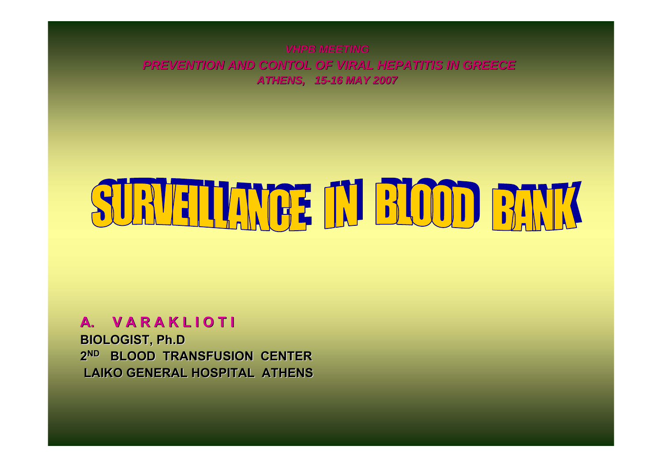*VHPB MEETING***PREVENTION AND CONTOL OF VIRAL HEPATITIS IN GREECE** *ATHENS, 15 ATHENS, 15-16 MAY 2007 16 MAY 2007*

# ELIANGE IN BLOOD BAN

#### **A. V A R A K L I O T I V A R A K L I O T I**

**BIOLOGIST, BIOLOGIST, Ph.D 2ND BLOOD TRANSFUSION CENTER BLOOD TRANSFUSION CENTER LAIKO GENERAL HOSPITAL ATHENS LAIKO GENERAL HOSPITAL ATHENS**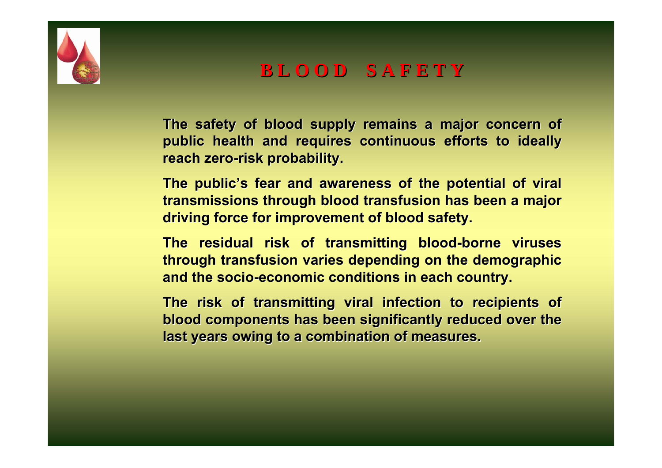

**B L O O D S A F E T Y B L O O D S A F E T Y**

The safety of blood supply remains a major concern of **public health and requires continuous efforts to ideally public health and requires continuous efforts to ideally reach zero reach zero-risk probability. risk probability.** 

The public's fear and awareness of the potential of viral **transmissions through blood transfusion has been a major driving force for improvement of blood safety. driving force for improvement of blood safety.**

**The residual risk of transmitting blood The residual risk of transmitting blood -borne viruses borne viruses through transfusion varies depending on the demographic through transfusion varies depending on the demographic**  and the socio-economic conditions in each country.

The risk of transmitting viral infection to recipients of **blood components has been significantly reduced over the last years owing to a combination of measures. last years owing to a combination of measures.**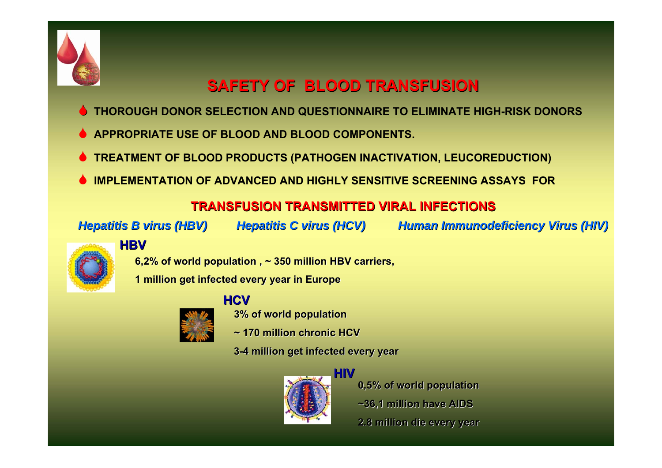

## **SAFETY OF BLOOD TRANSFUSION SAFETY OF BLOOD TRANSFUSION**

- 6**THOROUGH DONOR SELECTION AND QUESTIONNAIRE TO ELIMINATE HIGH-RISK DONORS**
- 6**APPROPRIATE USE OF BLOOD AND BLOOD COMPONENTS.**
- 6**TREATMENT OF BLOOD PRODUCTS (PATHOGEN INACTIVATION, LEUCOREDUCTION)**
- 6**IMPLEMENTATION OF ADVANCED AND HIGHLY SENSITIVE SCREENING ASSAYS FOR**

#### **TRANSFUSION TRANSMITTED VIRAL INFECTIONS TRANSFUSION TRANSMITTED VIRAL INFECTIONS**

*Hepatitis B virus (HBV) Hepatitis B (HBV) Hepatitis C virus (HCV) Hepatitis C virus (HCV) Human Immunodeficiency Virus (HIV) Human Immunodeficiency Virus (HIV)*



#### **HBV**

**6,2% of world population , ~ 350 million HBV carriers, million HBV carriers,** 

**1 million get infected every year in Europe million get infected every year in Europe**



#### **HCV**

**3% of world population**

- **~ 170 million chronic HCV**
- **3-4 million get infected every year 4 million get infected every year**



**0,5% of world population ~36,1 million have AIDS million have AIDS 2.8 million die every year 2.8 million die every year**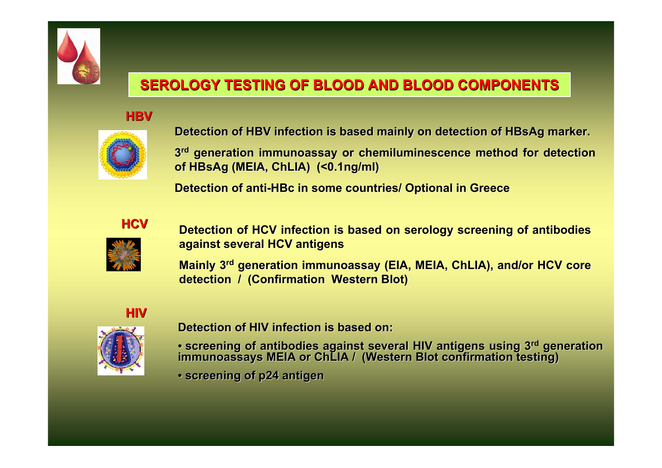

## **SEROLOGY TESTING OF BLOOD AND BLOOD COMPONENTS SEROLOGY TESTING OF BLOOD AND BLOOD COMPONENTS**

#### **HBV**



**Detection of HBV infection is based mainly on detection of HBsAg marker.** 

**3rd generation immunoassay or generation immunoassay or chemiluminescence chemiluminescencemethod for detection method for detection of HBsAg (MEIA, ChLIA) (<0.1ng/ml) ) (<0.1ng/ml)**

**Detection of anti Detection of anti-HBc in some countries/ Optional in Greece in some countries/ Optional in Greece**



**Detection of HCV infection is b Detection of HCV infection is based on serology screening of ant ased on serology screening of antibodies ibodies against several HCV antigens against several HCV antigens** 

**Mainly 3<sup>rd</sup> generation immunoassay (EIA, MEIA, ChLIA), and/or HCV core detection / (Confirmation Western Blot)** 

#### **HIV**



**Detection of HIV infection is based on: Detection of HIV infection is based on:**

- screening of antibodies against several HIV antigens using 3<sup>rd</sup> generation<br>immunoassays MEIA or ChLIA / (Western Blot confirmation testing)
- **screening of p24 screening of p24 antigen antigen**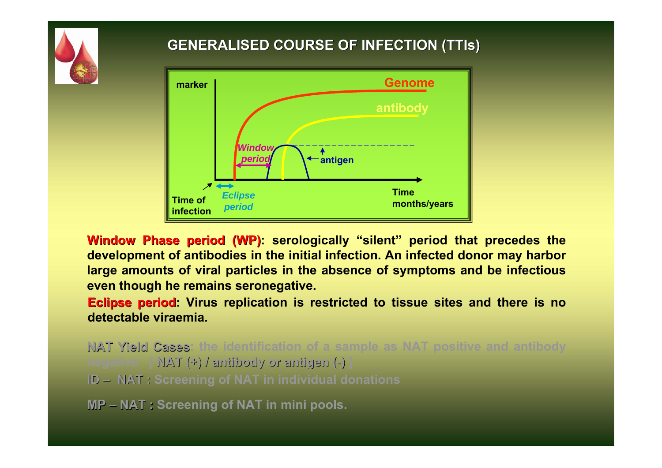

#### **GENERALISED COURSE OF INFECTION ( GENERALISED COURSE OF INFECTION (TTIs)**



**Window Phase period (WP):** serologically "silent" period that precedes the  $\blacksquare$ **development of antibodies in t he initial infection. An infected donor may harbor large amounts of viral particles in the absence of symptoms and be infectious even though he remains seronegative.** 

**Eclipse period Eclipse period: Virus replication is restricted to tissue sites and there is no detectable viraemia.** 

**NAT Yield Cases: the identification of a sample as NAT positive and antibody negative [ ΝΑΤ (+) / antibody or antigen ( antibody or antigen (-) ] ID – NAT : Screening of ΝΑΤ in individual donations**

**MP – NAT : Screening of ΝΑΤ in mini pools.**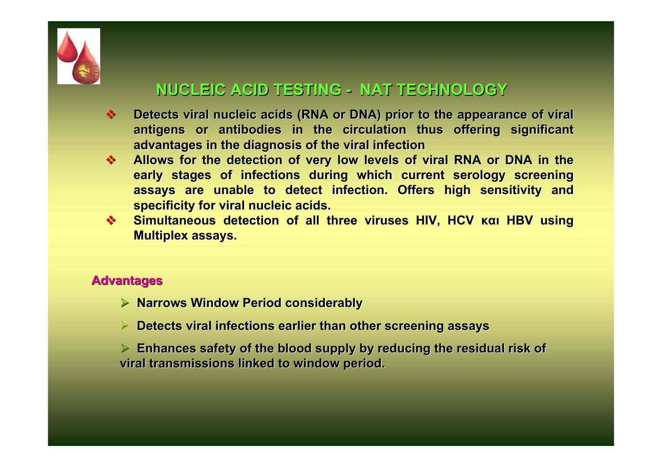

## **NUCLEIC ACID TESTING - NAT TECHNOLOGY**

- $\mathbf{A}$ **Detects viral nucleic acids (RNA or DNA) prior to the appearance of viral** antigens or antibodies in the circulation thus offering significant **advantages in the diagnosis of the viral infection advantages in the diagnosis of the viral infection**
- $\frac{1}{2}$ **Allows for the detection of very low levels of viral RNA or DNA in the early stages of infections during which current serology screening** assays are unable to detect infection. Offers high sensitivity and **specificity for viral nucleic acids. specificity for viral nucleic acids.**
- **SALES Simultaneous detection of all three viruses HIV, HCV και HBV using Multiplex assays.**

#### **Advantages Advantages**

- ¾ **Narrows Window Period Narrows Window Period considerably considerably**
- **▶ Detects viral infections earlier than other screening assays**

 $\triangleright$  Enhances safety of the blood supply by reducing the residual risk of viral transmissions linked to window period.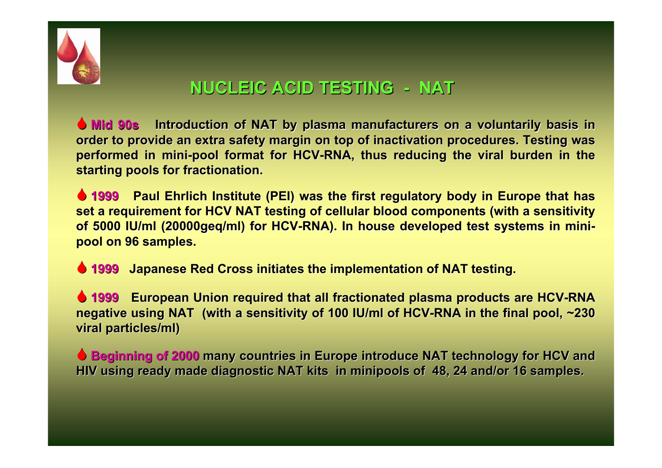

# **NUCLEIC ACID TESTING NUCLEIC ACID TESTING - NAT**

 $\bullet$  **Mid 90s** Introduction of NAT by plasma manufacturers on a voluntarily basis in **order to provide an extra safety margin on top of inactivation procedures. Testing was performed in mini-pool format for HCV-RNA, thus reducing the viral burden in the starting pools for fractionation. starting pools for fractionation.**

**6 1999 Paul Ehrlich Institute (PEI) was the first regulatory body in Europe that has set a requirement for HCV NAT testing of cellular blood components (with a sensitivity** of 5000 IU/ml (20000geq/ml) for HCV-RNA). In house developed test systems in mini**pool on 96 samples. pool on 96 samples.** 

6 **1999 Japanese Red Cross initiates the implementation of NAT testing Japanese Red Cross initiates the implementation of NAT testing.**

 $\bullet$  **1999** European Union required that all fractionated plasma products are HCV-RNA **negative using NAT** (with a sensitivity of 100 IU/ml of HCV-RNA in the final pool, ~230 **viral particles/ml) viral particles/ml)**

**6 Beginning of 2000 many countries in Europe introduce NAT technology for HCV and** HIV using ready made diagnostic NAT kits in minipools of 48, 24 and/or 16 samples.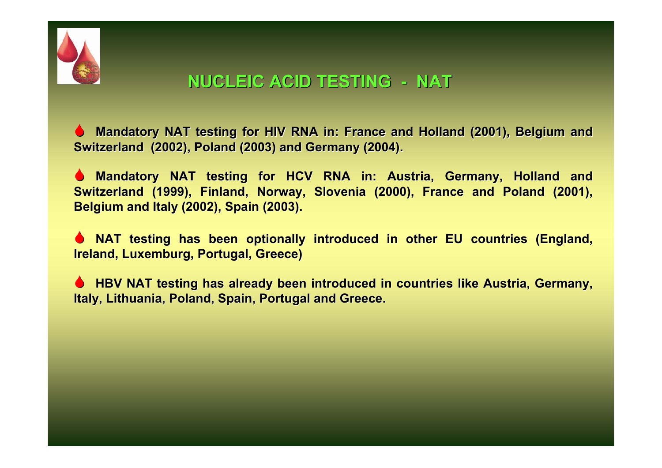

## **NUCLEIC ACID TESTING NUCLEIC ACID TESTING - NAT**

**6 Mandatory NAT testing for HIV RNA in: France and Holland (2001), Belgium and Switzerland (2002), Poland (2003) and Germany (2004).** 

**6 Mandatory NAT testing for HCV RNA in: Austria, Germany, Holland and Switzerland (1999), Finland, Norway, Slovenia (2000), France and Poland (2001), Belgium and Italy Belgium and Italy (2002), (2002), Spain (2003). (2003).**

**6 NAT testing has been optionally introduced in other EU countries (England, Ireland, Luxemburg, Portugal, Greece Ireland, Luxemburg, Portugal, Greece)**

**6 HBV NAT testing has already been introduced in countries like Austria, Germany, Italy, Lithuania, Poland, Spain, Portugal and Greece.**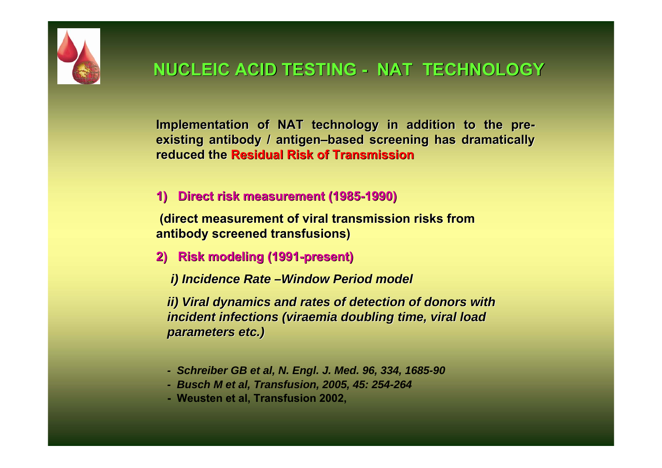

Implementation of NAT technology in addition to the pre**existing antibody / antigen existing antibody / antigen –based screening has dramatically based screening has dramatically reduced the Residual Risk of Transmission** 

#### **1) Direct risk measurement (1985-1990)**

**(direct measurement of viral transmission risks from antibody screened transfusions)** 

**2) Risk modeling (1991 Risk modeling (1991-present) present)** 

*i) Incidence Rate i) Incidence Rate –Window Period model Window Period model*

*ii) Viral dynamics and rates of detection of donors with incident infections (viraemia doubling time, viral load parameters etc.) parameters etc.)*

- *- Schreiber GB et al, N. Engl. J. Med. 96, 334, 1685-90*
- *- Busch M et al, Transfusion, 2005, 45: 254-264*
- **- Weusten et al, Transfusion 2002,**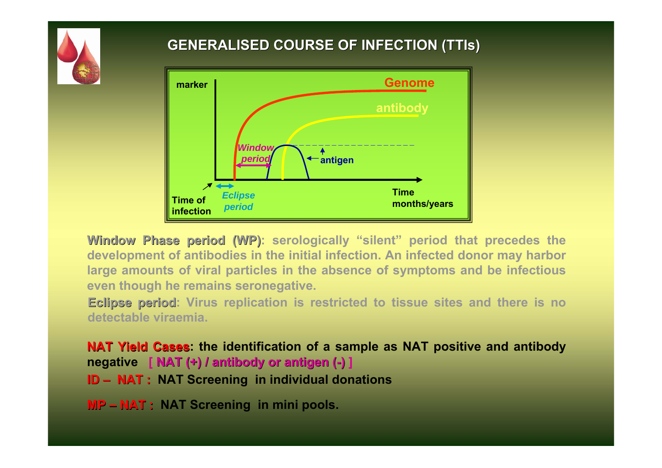

#### **GENERALISED COURSE OF INFECTION ( GENERALISED COURSE OF INFECTION (TTIs)**



**Window Phase period (WP): serologically "silent" period that precedes the development of antibodies in t he initial infection. An infected donor may harbor large amounts of viral particles in the absence of symptoms and be infectious even though he remains seronegative.** 

**Eclipse period: Virus replication is restricted to tissue sites and there is no detectable viraemia.** 

**NAT Yield NAT Yield Cases: the identification of a sample as NAT positive and antibody negative [ ΝΑΤ (+) / antibody or antigen ( antibody or antigen (-) ] ID – NAT : NAT Screening in individual donations**

**MP – NAT : NAT Screening in mini pools.**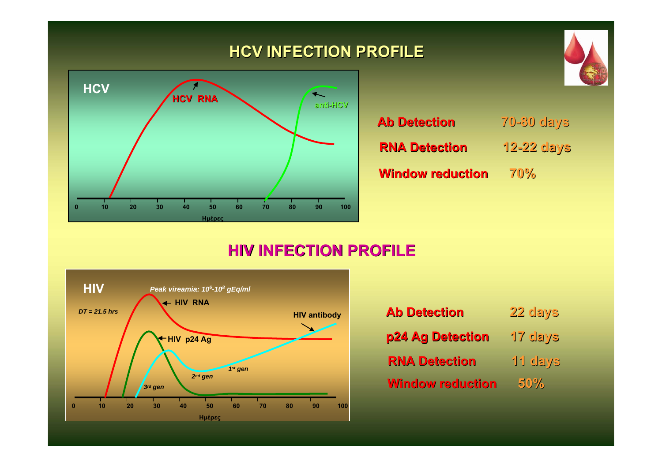## **HCV INFECTION PROFILE INFECTION PROFILE**



| <b>Ab Detection</b>     | <b>70-80 days</b> |
|-------------------------|-------------------|
| <b>RNA Detection</b>    | $12 - 22$ days    |
| <b>Window reduction</b> | 70%               |

#### **HΙV INFECTION PROFILE INFECTION PROFILE**



| <b>Ab Detection</b>     | 22 days |
|-------------------------|---------|
| p24 Ag Detection        | 17 days |
| <b>RNA Detection</b>    | 11 days |
| <b>Window reduction</b> | 50%     |

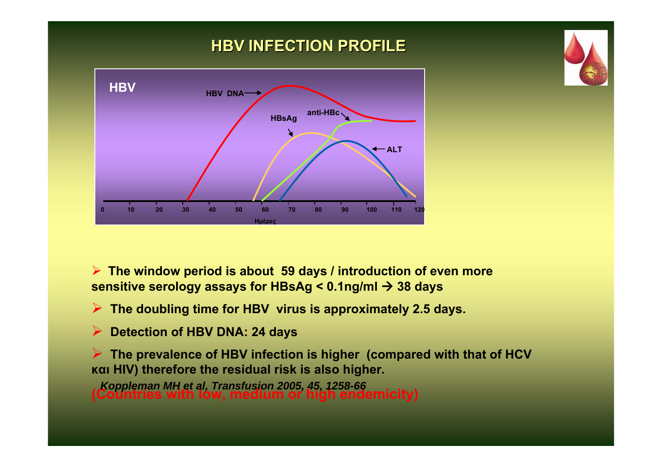## **H Β V INFECTION PROFILE INFECTION PROFILE**



¾ **The window period is about 59 days / introduction of even more sensitive serology assays for HBsAg < 0.1ng/ml** Æ **38 days**

¾ **The doubling time for HBV virus is approximately 2.5 days.**

¾**Detection of HBV DNA: 24 days**

¾ **The prevalence of HBV infection is higher (compared with that of HCV και HIV) therefore the residual risk is also higher.** 

**(Countries with low, medium or high endemicity)** *Koppleman MH et al, Transfusion 2005, 45, 1258-66*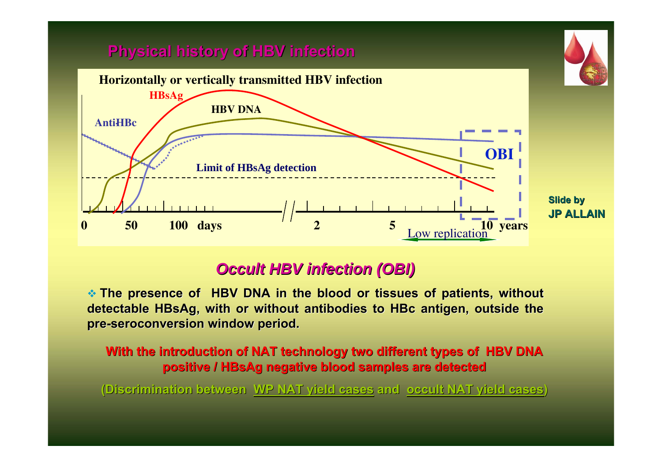#### **Physical history of HBV infection Physical history of HBV infection**



#### *Occult HBV infection (OBI) Occult HBV infection (OBI)*

**\*** The presence of HBV DNA in the blood or tissues of patients, without detectable HBsAg, with or without antibodies to HBc antigen, outside the **pre-seroconversion seroconversion window period. window period.** 

**With the introduction of NAT technology two different types of HBV DNA positive positive / HBsAg negative blood samples are detected negative blood samples are detected**

**(Discrimination between Discrimination between WP NAT yield cases WP NAT yield cases and occult NAT yield cases occult NAT yield cases)**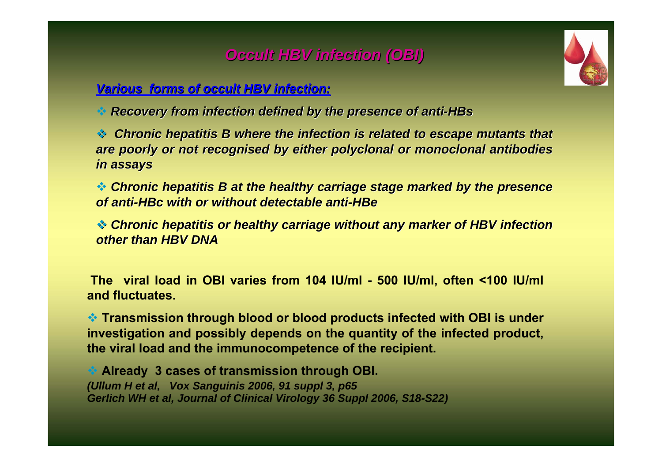## *Occult HBV infection (OBI) Occult HBV infection (OBI)*

#### *Various forms of occult HBV infection Various forms of occult HBV infection:*

*Recovery from infection defined by the presence of anti Recovery from infection defined by the presence of anti-HBs*

**Chronic hepatitis B where the infection is related to escape mutants that** *are poorly or not recognised by either polyclonal or monoclonal antibodies in assays in assays*

 $\clubsuit$  Chronic hepatitis B at the healthy carriage stage marked by the presence *of anti of anti-HBc with or without detectable anti with or without detectable anti-HBe*

 $\triangleleft$  Chronic hepatitis or healthy carriage without any marker of HBV infection *other than HBV DNA other than HBV DNA*

**The viral load in ΟΒΙ varies from 104 IU/ml - 500 IU/ml, often <100 IU/ml and fluctuates.**

 **Transmission through blood or blood products infected with OBI is under investigation and possibly depends on the quantity of the infected product, the viral load and the immunocompetence of the recipient.** 

 **Already 3 cases of transmission through OBI.** *(Ullum H et al, Vox Sanguinis 2006, 91 suppl 3, p65 Gerlich WH et al, Journal of Clinical Virology 36 Suppl 2006, S18-S22)*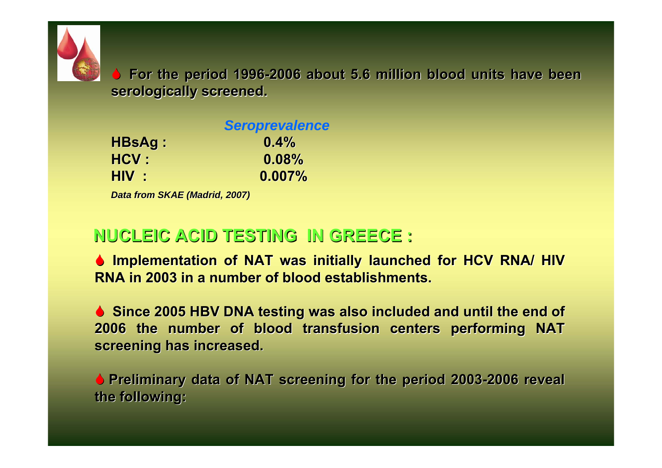

6 **For the period 1996 For the period 1996-2006 about 5.6 million bl 2006 about 5.6 million blood units have been ood units have been**  serologically screened.

|        | <b>Seroprevalence</b> |
|--------|-----------------------|
| HBsAg: | $0.4\%$               |
| HCV :  | 0.08%                 |
| HIV :  | $0.007\%$             |

*Data from SKAE (Madrid, 2007) Data SKAE (Madrid, 2007)*

## **NUCLEIC ACID TESTING IN GREECE : NUCLEIC ACID TESTING IN GREECE :**

**6 Implementation of NAT was initially launched for HCV RNA/ HIV RNA in 2003 in a number of blood establishments.** 

**6 Since 2005 HBV DNA testing was also included and until the end of 2006 the number of blood transfusion centers performing NAT 2006 the number of blood transfusion centers performing NAT**  screening has increased.

**• Preliminary data of NAT screening for the period 2003-2006 reveal the following: the following:**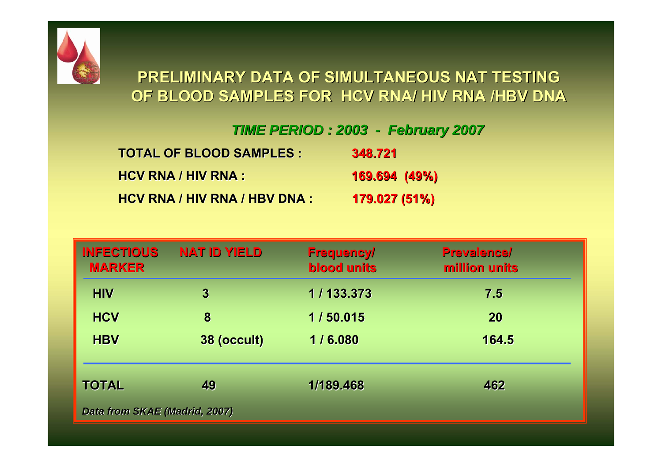

## **PRELIMINARY DATA OF SI PRELIMINARY DATA OF SIMULTANEOUS NAT TESTING MULTANEOUS NAT TESTING OF BLOOD SAMPLES FOR OF BLOOD SAMPLES FOR HCV RNA/ HIV RNA /HBV DNA HCV RNA/ HIV RNA /HBV DNA**

#### *TIME PERIOD TIME PERIOD : 2003-February February 2007*

| <b>TOTAL OF BLOOD SAMPLES:</b> | 348.721       |
|--------------------------------|---------------|
| <b>HCV RNA / HIV RNA :</b>     | 169.694 (49%) |
| HCV RNA / HIV RNA / HBV DNA :  | 179.027 (51%) |

| <b>INFECTIOUS</b><br><b>MARKER</b> | <b>NAT ID YIELD</b> | <b>Frequency/</b><br><b>blood units</b> | <b>Prevalence/</b><br>million units |
|------------------------------------|---------------------|-----------------------------------------|-------------------------------------|
| <b>HIV</b>                         | $\boldsymbol{3}$    | 1/133.373                               | 7.5                                 |
| <b>HCV</b>                         | 8                   | 1/50.015                                | 20                                  |
| <b>HBV</b>                         | 38 (occult)         | 1/6.080                                 | 164.5                               |
| <b>TOTAL</b>                       | 49                  | 1/189.468                               | 462                                 |
| Data from SKAE (Madrid, 2007)      |                     |                                         |                                     |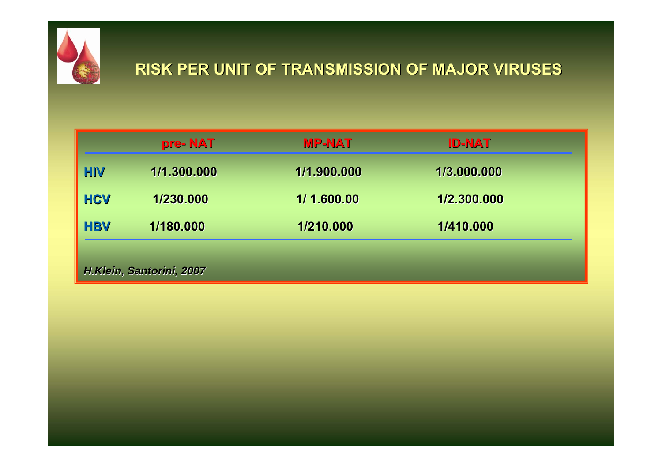

## **RISK PER UNIT OF TRANSM RISK PER UNIT OF TRANSMISSION OF MAJOR VIRUSES ISSION OF MAJOR VIRUSES**

|                          | pre-NAT     | <b>MP-NAT</b> | <b>ID-NAT</b> |  |
|--------------------------|-------------|---------------|---------------|--|
| <b>HIV</b>               | 1/1.300.000 | 1/1.900.000   | 1/3.000.000   |  |
| <b>HCV</b>               | 1/230.000   | 1/1.600.00    | 1/2.300.000   |  |
| <b>HBV</b>               | 1/180.000   | 1/210.000     | 1/410.000     |  |
|                          |             |               |               |  |
| H.Klein, Santorini, 2007 |             |               |               |  |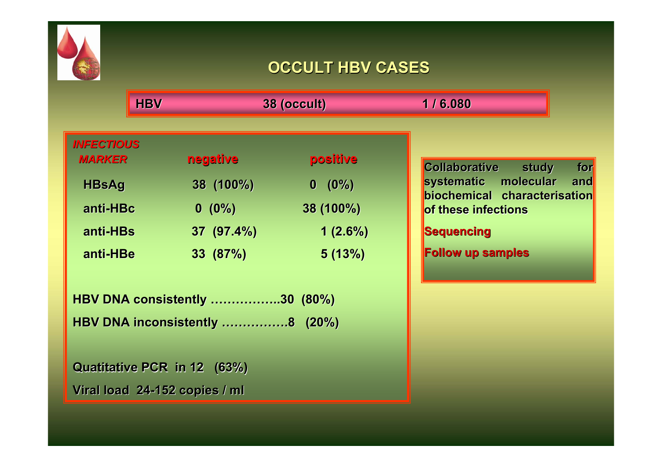

## **OCCULT HBV CASES OCCULT HBV CASES**

**HBV HBV 38 (occult) 38 (occult) 1 / 6.080 1 / 6.080**

| <b>INFECTIOUS</b><br><b>MARKER</b> | negative  | positive   |
|------------------------------------|-----------|------------|
| <b>HBsAg</b>                       | 38 (100%) | $0 (0\%)$  |
| anti-HBc                           | $0(0\%)$  | 38 (100%)  |
| anti-HBs                           | 37(97.4%) | $1(2.6\%)$ |
| anti-HBe                           | 33 (87%)  | 5(13%)     |

**HBV DNA consistently ……………..30 (80%) HBV DNA consistently ……………..30 (80%) HBV DNA inconsistently …………….8 (20%) HBV DNA inconsistently …………….8 (20%)**

**Quatitative PCR in 12 (63%) Viral load 24 Viral load 24-152 copies / ml 152 copies / ml**

**Collaborative study for** systematic molecular and **biochemical characterisation of these infections of these infections**

**Sequencing Sequencing**

**Follow up samples Follow up samples**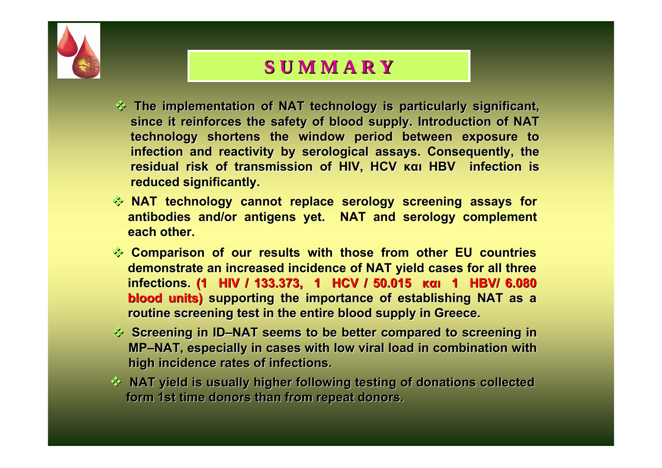

# **S U M M A R Y S U M M A R Y**

- $\Diamond$  The implementation of NAT technology is particularly significant, since it reinforces the safety of blood supply. Introduction of NAT technology shortens the window period between exposure to infection and reactivity by serological assays. Consequently, the **residual risk of transmission of HIV, HCV residual risk of transmission of HIV, HCV και HBV infection is infection is reduced significantly. reduced significantly.**
- $\Diamond$  NAT technology cannot replace serology screening assays for **antibodies and/or antigens yet. NAT and serology complement each other.**
- **Comparison of our results with those from other EU countries demonstrate an increased incidence of NAT yield cases for all three infections. infections. (1 HIV / 133.373, 1 HIV / 133.373, 1 HCV / 50.015 HCV / 50.015 και 1 HBV/ 6.080 1 HBV/ 6.080 blood units)** supporting the importance of establishing NAT as a **routine screening test in the entire blood supply in Greece.**
- $\Diamond$  Screening in ID-NAT seems to be better compared to screening in **MP–NAT, especially in cases with low NAT, especially in cases with low viral load in combination with viral load in combination with** high incidence rates of infections.
- **EXAMP WAT yield is usually higher following testing of donations collected is usually higher following testing of donations collected** form 1st time donors than from repeat donors.